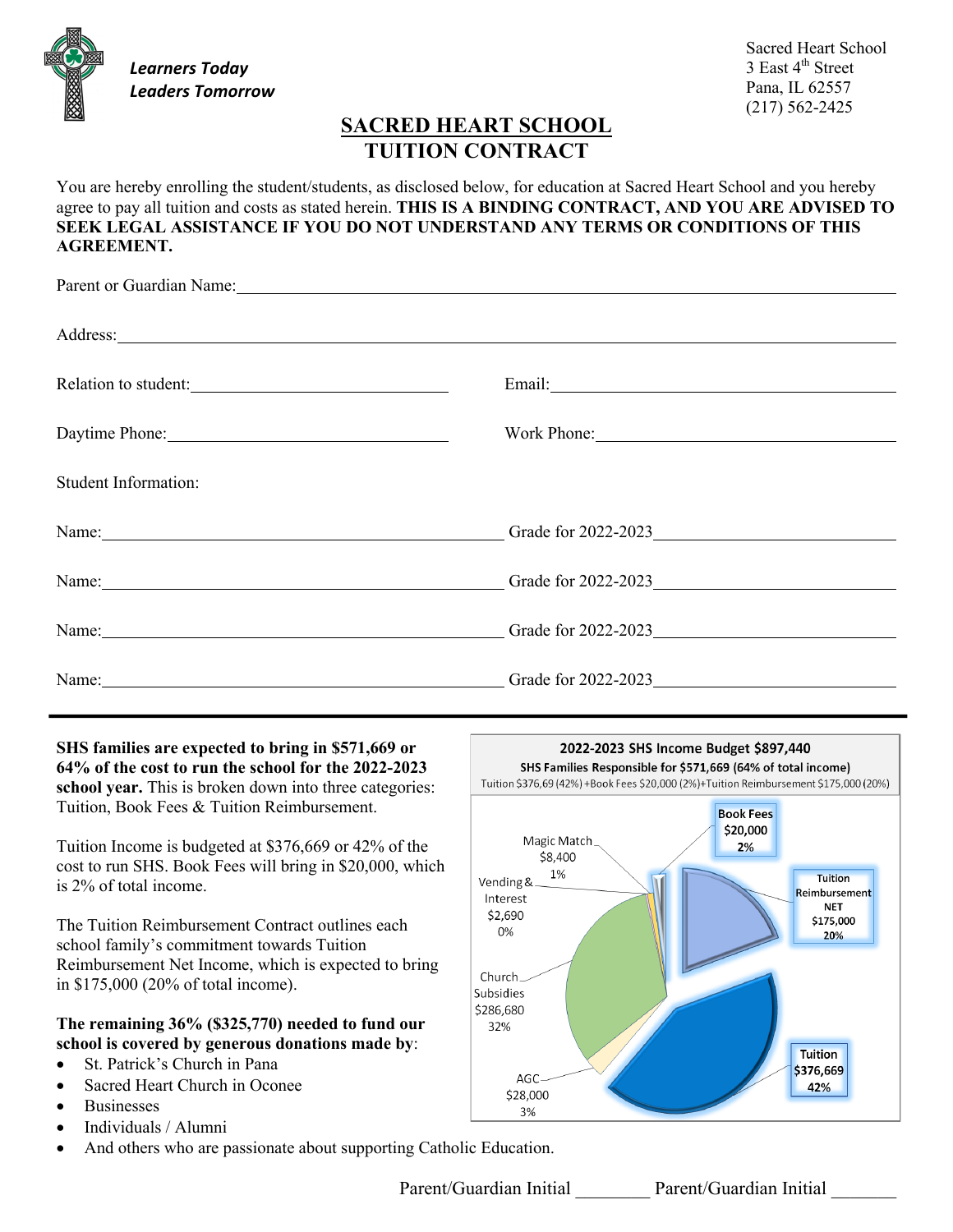*Learners Today Leaders Tomorrow*

Sacred Heart School 3 East 4<sup>th</sup> Street Pana, IL 62557 (217) 562-2425

# **SACRED HEART SCHOOL TUITION CONTRACT**

You are hereby enrolling the student/students, as disclosed below, for education at Sacred Heart School and you hereby agree to pay all tuition and costs as stated herein. **THIS IS A BINDING CONTRACT, AND YOU ARE ADVISED TO SEEK LEGAL ASSISTANCE IF YOU DO NOT UNDERSTAND ANY TERMS OR CONDITIONS OF THIS AGREEMENT.**

|                                                                                                                                                                                                                                | Parent or Guardian Name: 1988 and 2008 and 2008 and 2008 and 2008 and 2008 and 2008 and 2008 and 2008 and 2008 and 2008 and 2008 and 2008 and 2008 and 2008 and 2008 and 2008 and 2008 and 2008 and 2008 and 2008 and 2008 and |
|--------------------------------------------------------------------------------------------------------------------------------------------------------------------------------------------------------------------------------|--------------------------------------------------------------------------------------------------------------------------------------------------------------------------------------------------------------------------------|
|                                                                                                                                                                                                                                | Address: Andreas Address: Address: Address: Address: Address: Address: Address: Address: Address: Address: Address: Address: Address: Address: Address: Address: Address: Address: Address: Address: Address: Address: Address |
| Relation to student:                                                                                                                                                                                                           | Email: <u>Containing</u>                                                                                                                                                                                                       |
| Daytime Phone: 2008                                                                                                                                                                                                            | Work Phone: 2008                                                                                                                                                                                                               |
| Student Information:                                                                                                                                                                                                           |                                                                                                                                                                                                                                |
|                                                                                                                                                                                                                                | Name: Camelland Contract Contract Contract Contract Contract Contract Contract Contract Contract Contract Contract Contract Contract Contract Contract Contract Contract Contract Contract Contract Contract Contract Contract |
|                                                                                                                                                                                                                                | Name: Camelland Contract Contract Contract Contract Contract Contract Contract Contract Contract Contract Contract Contract Contract Contract Contract Contract Contract Contract Contract Contract Contract Contract Contract |
| Name: Name and the set of the set of the set of the set of the set of the set of the set of the set of the set of the set of the set of the set of the set of the set of the set of the set of the set of the set of the set o |                                                                                                                                                                                                                                |
|                                                                                                                                                                                                                                | Name: Camera Contract Contract Contract Contract Contract Contract Contract Contract Contract Contract Contract Contract Contract Contract Contract Contract Contract Contract Contract Contract Contract Contract Contract Co |

**SHS families are expected to bring in \$571,669 or 64% of the cost to run the school for the 2022-2023 school year.** This is broken down into three categories: Tuition, Book Fees & Tuition Reimbursement.

Tuition Income is budgeted at \$376,669 or 42% of the cost to run SHS. Book Fees will bring in \$20,000, which is 2% of total income.

The Tuition Reimbursement Contract outlines each school family's commitment towards Tuition Reimbursement Net Income, which is expected to bring in \$175,000 (20% of total income).

### **The remaining 36% (\$325,770) needed to fund our school is covered by generous donations made by**:

- St. Patrick's Church in Pana
- Sacred Heart Church in Oconee
- Businesses
- Individuals / Alumni
- And others who are passionate about supporting Catholic Education.



Parent/Guardian Initial Parent/Guardian Initial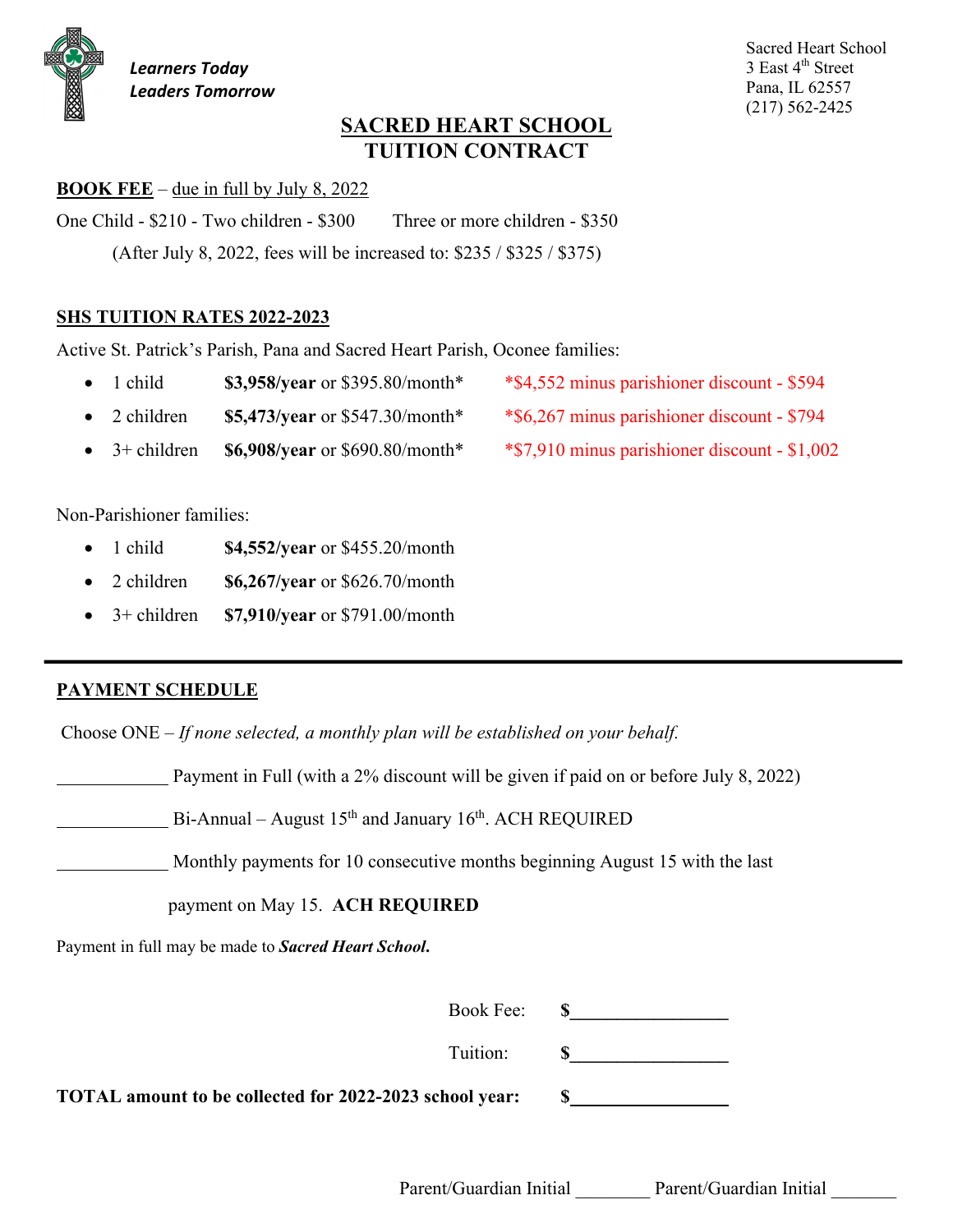# **SACRED HEART SCHOOL TUITION CONTRACT**

### **BOOK FEE** – due in full by July 8, 2022

One Child - \$210 - Two children - \$300 Three or more children - \$350

(After July 8, 2022, fees will be increased to: \$235 / \$325 / \$375)

## **SHS TUITION RATES 2022-2023**

Active St. Patrick's Parish, Pana and Sacred Heart Parish, Oconee families:

- 1 child **\$3,958/year** or \$395.80/month\* \*\$4,552 minus parishioner discount \$594
- 2 children **\$5,473/year** or \$547.30/month\* \*\$6,267 minus parishioner discount \$794
- 3+ children **\$6,908/year** or \$690.80/month\* \*\$7,910 minus parishioner discount \$1,002

Non-Parishioner families:

- 1 child **\$4,552/year** or \$455.20/month
- 2 children **\$6,267/year** or \$626.70/month
- 3+ children **\$7,910/year** or \$791.00/month

## **PAYMENT SCHEDULE**

Choose ONE – *If none selected, a monthly plan will be established on your behalf.*

Payment in Full (with a 2% discount will be given if paid on or before July 8, 2022)

Bi-Annual – August  $15<sup>th</sup>$  and January  $16<sup>th</sup>$ . ACH REQUIRED

Monthly payments for 10 consecutive months beginning August 15 with the last

payment on May 15. **ACH REQUIRED**

Payment in full may be made to *Sacred Heart School***.**

Book Fee: **\$** 

Tuition: **\$\_\_\_\_\_\_\_\_\_\_\_\_\_\_\_\_\_**

**TOTAL amount to be collected for 2022-2023 school year: \$**

Parent/Guardian Initial Parent/Guardian Initial

Sacred Heart School 3 East 4<sup>th</sup> Street Pana, IL 62557 (217) 562-2425